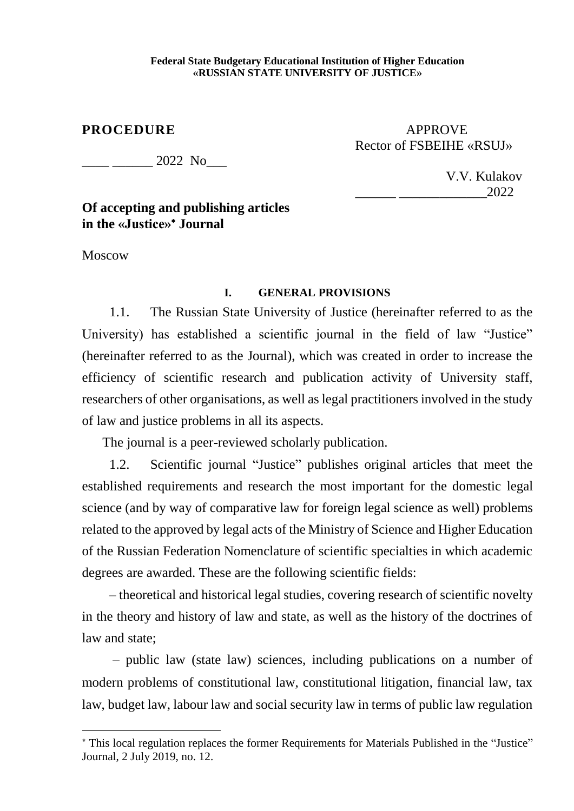#### **Federal State Budgetary Educational Institution of Higher Education «RUSSIAN STATE UNIVERSITY OF JUSTICE»**

## **PROCEDURE** APPROVE Rector of FSBEIHE «RSUJ»

2022 No

 V.V. Kulakov  $\frac{1}{2022}$ 

# **Of accepting and publishing articles in the «Justice» Journal**

Moscow

**.** 

### **I. GENERAL PROVISIONS**

1.1. The Russian State University of Justice (hereinafter referred to as the University) has established a scientific journal in the field of law "Justice" (hereinafter referred to as the Journal), which was created in order to increase the efficiency of scientific research and publication activity of University staff, researchers of other organisations, as well as legal practitioners involved in the study of law and justice problems in all its aspects.

The journal is a peer-reviewed scholarly publication.

1.2. Scientific journal "Justice" publishes original articles that meet the established requirements and research the most important for the domestic legal science (and by way of comparative law for foreign legal science as well) problems related to the approved by legal acts of the Ministry of Science and Higher Education of the Russian Federation Nomenclature of scientific specialties in which academic degrees are awarded. These are the following scientific fields:

– theoretical and historical legal studies, covering research of scientific novelty in the theory and history of law and state, as well as the history of the doctrines of law and state;

– public law (state law) sciences, including publications on a number of modern problems of constitutional law, constitutional litigation, financial law, tax law, budget law, labour law and social security law in terms of public law regulation

This local regulation replaces the former Requirements for Materials Published in the "Justice" Journal, 2 July 2019, no. 12.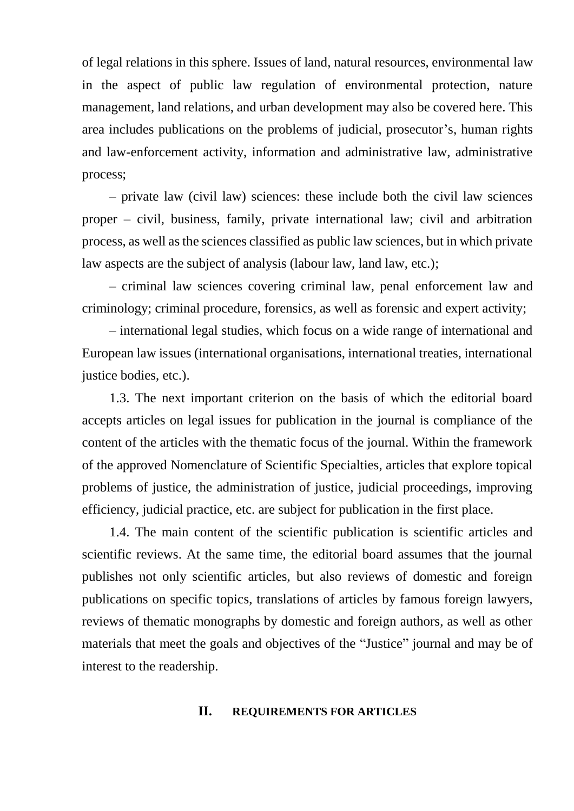of legal relations in this sphere. Issues of land, natural resources, environmental law in the aspect of public law regulation of environmental protection, nature management, land relations, and urban development may also be covered here. This area includes publications on the problems of judicial, prosecutor's, human rights and law-enforcement activity, information and administrative law, administrative process;

– private law (civil law) sciences: these include both the civil law sciences proper – civil, business, family, private international law; civil and arbitration process, as well as the sciences classified as public law sciences, but in which private law aspects are the subject of analysis (labour law, land law, etc.);

– criminal law sciences covering criminal law, penal enforcement law and criminology; criminal procedure, forensics, as well as forensic and expert activity;

– international legal studies, which focus on a wide range of international and European law issues (international organisations, international treaties, international justice bodies, etc.).

1.3. The next important criterion on the basis of which the editorial board accepts articles on legal issues for publication in the journal is compliance of the content of the articles with the thematic focus of the journal. Within the framework of the approved Nomenclature of Scientific Specialties, articles that explore topical problems of justice, the administration of justice, judicial proceedings, improving efficiency, judicial practice, etc. are subject for publication in the first place.

1.4. The main content of the scientific publication is scientific articles and scientific reviews. At the same time, the editorial board assumes that the journal publishes not only scientific articles, but also reviews of domestic and foreign publications on specific topics, translations of articles by famous foreign lawyers, reviews of thematic monographs by domestic and foreign authors, as well as other materials that meet the goals and objectives of the "Justice" journal and may be of interest to the readership.

#### **II. REQUIREMENTS FOR ARTICLES**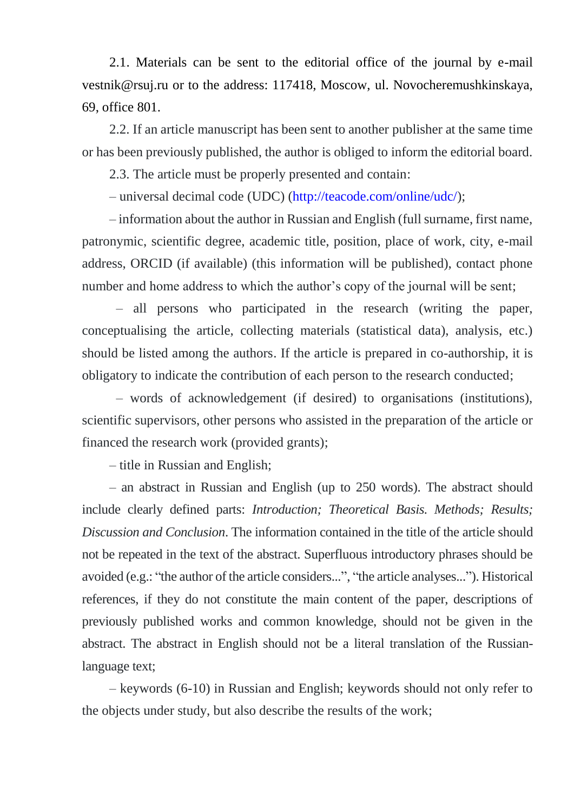2.1. Materials can be sent to the editorial office of the journal by e-mail vestnik@rsuj.ru or to the address: 117418, Moscow, ul. Novocheremushkinskaya, 69, office 801.

2.2. If an article manuscript has been sent to another publisher at the same time or has been previously published, the author is obliged to inform the editorial board.

2.3. The article must be properly presented and contain:

– universal decimal code (UDC) [\(http://teacode.com/online/udc/\)](http://teacode.com/online/udc/);

– information about the author in Russian and English (full surname, first name, patronymic, scientific degree, academic title, position, place of work, city, e-mail address, ORCID (if available) (this information will be published), contact phone number and home address to which the author's copy of the journal will be sent;

– all persons who participated in the research (writing the paper, conceptualising the article, collecting materials (statistical data), analysis, etc.) should be listed among the authors. If the article is prepared in co-authorship, it is obligatory to indicate the contribution of each person to the research conducted;

– words of acknowledgement (if desired) to organisations (institutions), scientific supervisors, other persons who assisted in the preparation of the article or financed the research work (provided grants);

– title in Russian and English;

– an abstract in Russian and English (up to 250 words). The abstract should include clearly defined parts: *Introduction; Theoretical Basis. Methods; Results; Discussion and Conclusion*. The information contained in the title of the article should not be repeated in the text of the abstract. Superfluous introductory phrases should be avoided (e.g.: "the author of the article considers...", "the article analyses..."). Historical references, if they do not constitute the main content of the paper, descriptions of previously published works and common knowledge, should not be given in the abstract. The abstract in English should not be a literal translation of the Russianlanguage text;

– keywords (6-10) in Russian and English; keywords should not only refer to the objects under study, but also describe the results of the work;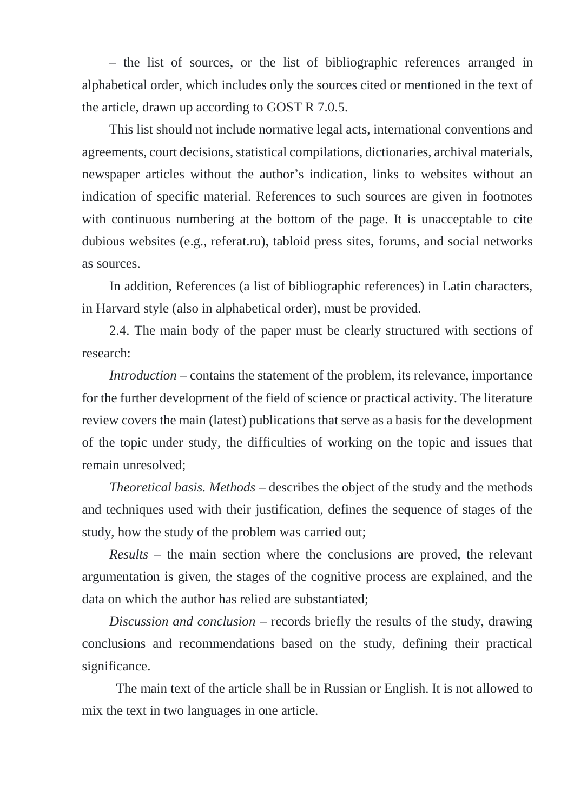– the list of sources, or the list of bibliographic references arranged in alphabetical order, which includes only the sources cited or mentioned in the text of the article, drawn up according to GOST R 7.0.5.

This list should not include normative legal acts, international conventions and agreements, court decisions, statistical compilations, dictionaries, archival materials, newspaper articles without the author's indication, links to websites without an indication of specific material. References to such sources are given in footnotes with continuous numbering at the bottom of the page. It is unacceptable to cite dubious websites (e.g., referat.ru), tabloid press sites, forums, and social networks as sources.

In addition, References (a list of bibliographic references) in Latin characters, in Harvard style (also in alphabetical order), must be provided.

2.4. The main body of the paper must be clearly structured with sections of research:

*Introduction –* contains the statement of the problem, its relevance, importance for the further development of the field of science or practical activity. The literature review covers the main (latest) publications that serve as a basis for the development of the topic under study, the difficulties of working on the topic and issues that remain unresolved;

*Theoretical basis. Methods* – describes the object of the study and the methods and techniques used with their justification, defines the sequence of stages of the study, how the study of the problem was carried out;

*Results* – the main section where the conclusions are proved, the relevant argumentation is given, the stages of the cognitive process are explained, and the data on which the author has relied are substantiated;

*Discussion and conclusion* – records briefly the results of the study, drawing conclusions and recommendations based on the study, defining their practical significance.

The main text of the article shall be in Russian or English. It is not allowed to mix the text in two languages in one article.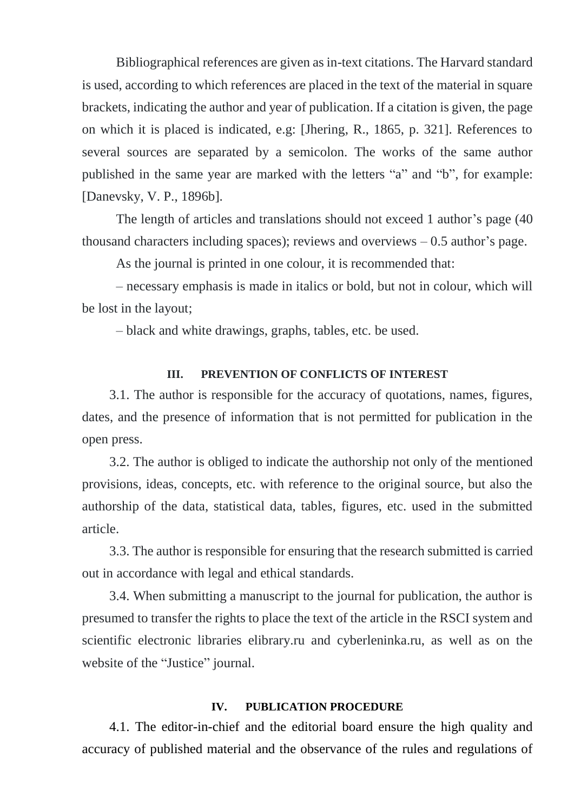Bibliographical references are given as in-text citations. The Harvard standard is used, according to which references are placed in the text of the material in square brackets, indicating the author and year of publication. If a citation is given, the page on which it is placed is indicated, e.g: [Jhering, R., 1865, p. 321]. References to several sources are separated by a semicolon. The works of the same author published in the same year are marked with the letters "a" and "b", for example: [Danevsky, V. P., 1896b].

The length of articles and translations should not exceed 1 author's page (40 thousand characters including spaces); reviews and overviews  $-0.5$  author's page.

As the journal is printed in one colour, it is recommended that:

– necessary emphasis is made in italics or bold, but not in colour, which will be lost in the layout;

– black and white drawings, graphs, tables, etc. be used.

### **III. PREVENTION OF CONFLICTS OF INTEREST**

3.1. The author is responsible for the accuracy of quotations, names, figures, dates, and the presence of information that is not permitted for publication in the open press.

3.2. The author is obliged to indicate the authorship not only of the mentioned provisions, ideas, concepts, etc. with reference to the original source, but also the authorship of the data, statistical data, tables, figures, etc. used in the submitted article.

3.3. The author is responsible for ensuring that the research submitted is carried out in accordance with legal and ethical standards.

3.4. When submitting a manuscript to the journal for publication, the author is presumed to transfer the rights to place the text of the article in the RSCI system and scientific electronic libraries elibrary.ru and cyberleninka.ru, as well as on the website of the "Justice" journal.

#### **IV. PUBLICATION PROCEDURE**

4.1. The editor-in-chief and the editorial board ensure the high quality and accuracy of published material and the observance of the rules and regulations of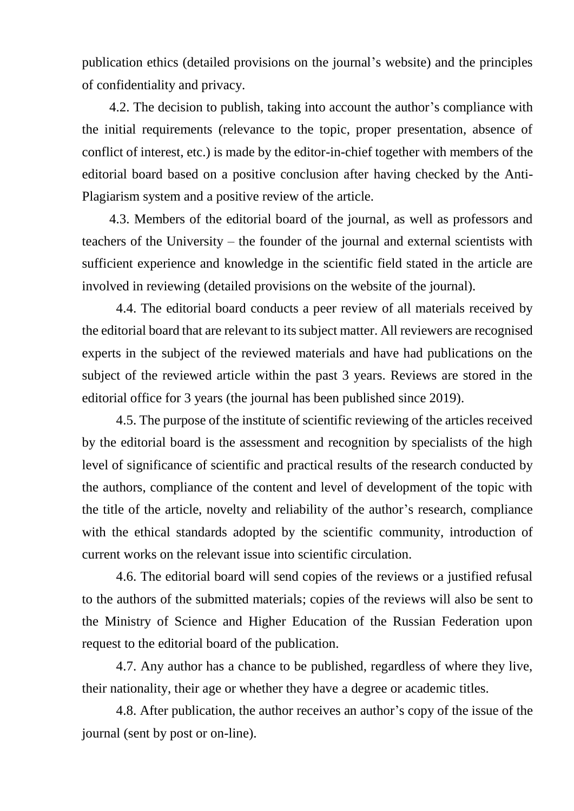publication ethics (detailed provisions on the journal's website) and the principles of confidentiality and privacy.

4.2. The decision to publish, taking into account the author's compliance with the initial requirements (relevance to the topic, proper presentation, absence of conflict of interest, etc.) is made by the editor-in-chief together with members of the editorial board based on a positive conclusion after having checked by the Anti-Plagiarism system and a positive review of the article.

4.3. Members of the editorial board of the journal, as well as professors and teachers of the University – the founder of the journal and external scientists with sufficient experience and knowledge in the scientific field stated in the article are involved in reviewing (detailed provisions on the website of the journal).

4.4. The editorial board conducts a peer review of all materials received by the editorial board that are relevant to its subject matter. All reviewers are recognised experts in the subject of the reviewed materials and have had publications on the subject of the reviewed article within the past 3 years. Reviews are stored in the editorial office for 3 years (the journal has been published since 2019).

4.5. The purpose of the institute of scientific reviewing of the articles received by the editorial board is the assessment and recognition by specialists of the high level of significance of scientific and practical results of the research conducted by the authors, compliance of the content and level of development of the topic with the title of the article, novelty and reliability of the author's research, compliance with the ethical standards adopted by the scientific community, introduction of current works on the relevant issue into scientific circulation.

4.6. The editorial board will send copies of the reviews or a justified refusal to the authors of the submitted materials; copies of the reviews will also be sent to the Ministry of Science and Higher Education of the Russian Federation upon request to the editorial board of the publication.

4.7. Any author has a chance to be published, regardless of where they live, their nationality, their age or whether they have a degree or academic titles.

4.8. After publication, the author receives an author's copy of the issue of the journal (sent by post or on-line).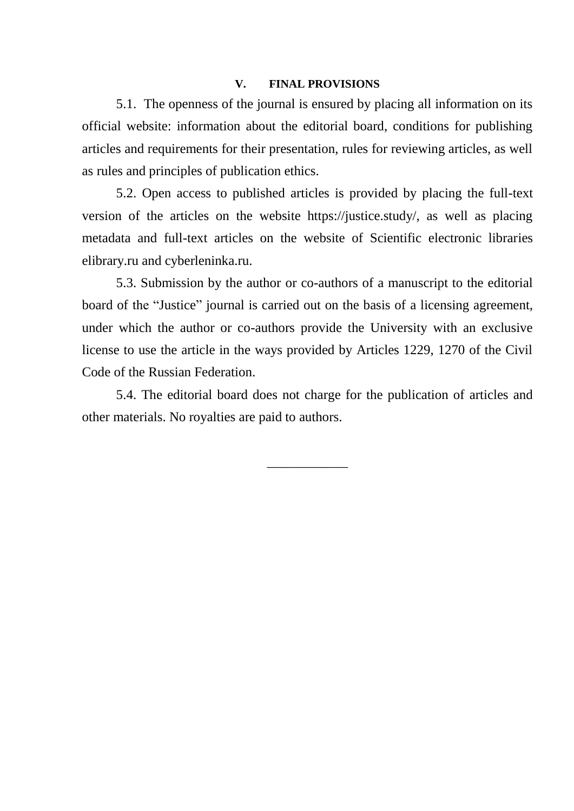#### **V. FINAL PROVISIONS**

5.1. The openness of the journal is ensured by placing all information on its official website: information about the editorial board, conditions for publishing articles and requirements for their presentation, rules for reviewing articles, as well as rules and principles of publication ethics.

5.2. Open access to published articles is provided by placing the full-text version of the articles on the website https://justice.study/, as well as placing metadata and full-text articles on the website of Scientific electronic libraries elibrary.ru and cyberleninka.ru.

5.3. Submission by the author or co-authors of a manuscript to the editorial board of the "Justice" journal is carried out on the basis of a licensing agreement, under which the author or co-authors provide the University with an exclusive license to use the article in the ways provided by Articles 1229, 1270 of the Civil Code of the Russian Federation.

5.4. The editorial board does not charge for the publication of articles and other materials. No royalties are paid to authors.

\_\_\_\_\_\_\_\_\_\_\_\_